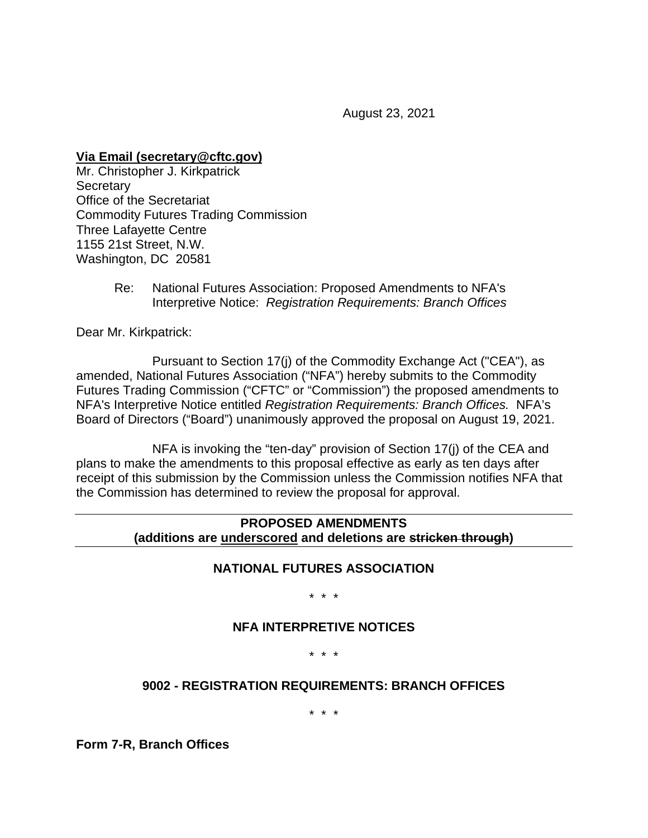August 23, 2021

**Via Email (secretary@cftc.gov)**

Mr. Christopher J. Kirkpatrick **Secretary** Office of the Secretariat Commodity Futures Trading Commission Three Lafayette Centre 1155 21st Street, N.W. Washington, DC 20581

> Re: National Futures Association: Proposed Amendments to NFA's Interpretive Notice: *Registration Requirements: Branch Offices*

Dear Mr. Kirkpatrick:

Pursuant to Section 17(j) of the Commodity Exchange Act ("CEA"), as amended, National Futures Association ("NFA") hereby submits to the Commodity Futures Trading Commission ("CFTC" or "Commission") the proposed amendments to NFA's Interpretive Notice entitled *Registration Requirements: Branch Offices.* NFA's Board of Directors ("Board") unanimously approved the proposal on August 19, 2021.

NFA is invoking the "ten-day" provision of Section 17(j) of the CEA and plans to make the amendments to this proposal effective as early as ten days after receipt of this submission by the Commission unless the Commission notifies NFA that the Commission has determined to review the proposal for approval.

### **PROPOSED AMENDMENTS (additions are underscored and deletions are stricken through)**

#### **NATIONAL FUTURES ASSOCIATION**

\* \* \*

#### **NFA INTERPRETIVE NOTICES**

\* \* \*

#### **9002 - REGISTRATION REQUIREMENTS: BRANCH OFFICES**

\* \* \*

**Form 7-R, Branch Offices**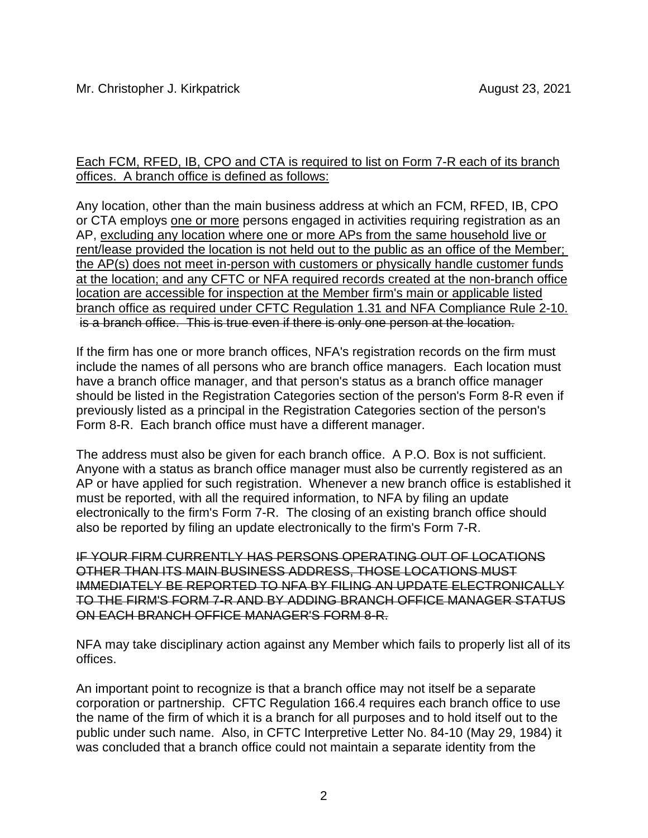## Each FCM, RFED, IB, CPO and CTA is required to list on Form 7-R each of its branch offices. A branch office is defined as follows:

Any location, other than the main business address at which an FCM, RFED, IB, CPO or CTA employs one or more persons engaged in activities requiring registration as an AP, excluding any location where one or more APs from the same household live or rent/lease provided the location is not held out to the public as an office of the Member; the AP(s) does not meet in-person with customers or physically handle customer funds at the location; and any CFTC or NFA required records created at the non-branch office location are accessible for inspection at the Member firm's main or applicable listed branch office as required under CFTC Regulation 1.31 and NFA Compliance Rule 2-10. is a branch office. This is true even if there is only one person at the location.

If the firm has one or more branch offices, NFA's registration records on the firm must include the names of all persons who are branch office managers. Each location must have a branch office manager, and that person's status as a branch office manager should be listed in the Registration Categories section of the person's Form 8-R even if previously listed as a principal in the Registration Categories section of the person's Form 8-R. Each branch office must have a different manager.

The address must also be given for each branch office. A P.O. Box is not sufficient. Anyone with a status as branch office manager must also be currently registered as an AP or have applied for such registration. Whenever a new branch office is established it must be reported, with all the required information, to NFA by filing an update electronically to the firm's Form 7-R. The closing of an existing branch office should also be reported by filing an update electronically to the firm's Form 7-R.

IF YOUR FIRM CURRENTLY HAS PERSONS OPERATING OUT OF LOCATIONS OTHER THAN ITS MAIN BUSINESS ADDRESS, THOSE LOCATIONS MUST IMMEDIATELY BE REPORTED TO NFA BY FILING AN UPDATE ELECTRONICALLY TO THE FIRM'S FORM 7-R AND BY ADDING BRANCH OFFICE MANAGER STATUS ON EACH BRANCH OFFICE MANAGER'S FORM 8-R.

NFA may take disciplinary action against any Member which fails to properly list all of its offices.

An important point to recognize is that a branch office may not itself be a separate corporation or partnership. CFTC Regulation 166.4 requires each branch office to use the name of the firm of which it is a branch for all purposes and to hold itself out to the public under such name. Also, in CFTC Interpretive Letter No. 84-10 (May 29, 1984) it was concluded that a branch office could not maintain a separate identity from the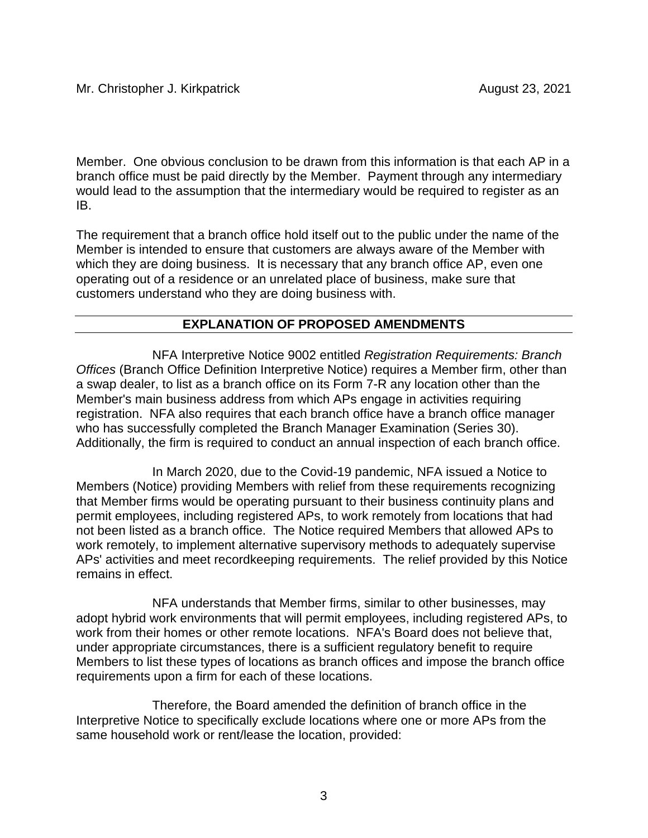Member. One obvious conclusion to be drawn from this information is that each AP in a branch office must be paid directly by the Member. Payment through any intermediary would lead to the assumption that the intermediary would be required to register as an IB.

The requirement that a branch office hold itself out to the public under the name of the Member is intended to ensure that customers are always aware of the Member with which they are doing business. It is necessary that any branch office AP, even one operating out of a residence or an unrelated place of business, make sure that customers understand who they are doing business with.

# **EXPLANATION OF PROPOSED AMENDMENTS**

NFA Interpretive Notice 9002 entitled *Registration Requirements: Branch Offices* (Branch Office Definition Interpretive Notice) requires a Member firm, other than a swap dealer, to list as a branch office on its Form 7-R any location other than the Member's main business address from which APs engage in activities requiring registration. NFA also requires that each branch office have a branch office manager who has successfully completed the Branch Manager Examination (Series 30). Additionally, the firm is required to conduct an annual inspection of each branch office.

In March 2020, due to the Covid-19 pandemic, NFA issued a Notice to Members (Notice) providing Members with relief from these requirements recognizing that Member firms would be operating pursuant to their business continuity plans and permit employees, including registered APs, to work remotely from locations that had not been listed as a branch office. The Notice required Members that allowed APs to work remotely, to implement alternative supervisory methods to adequately supervise APs' activities and meet recordkeeping requirements. The relief provided by this Notice remains in effect.

NFA understands that Member firms, similar to other businesses, may adopt hybrid work environments that will permit employees, including registered APs, to work from their homes or other remote locations. NFA's Board does not believe that, under appropriate circumstances, there is a sufficient regulatory benefit to require Members to list these types of locations as branch offices and impose the branch office requirements upon a firm for each of these locations.

Therefore, the Board amended the definition of branch office in the Interpretive Notice to specifically exclude locations where one or more APs from the same household work or rent/lease the location, provided: